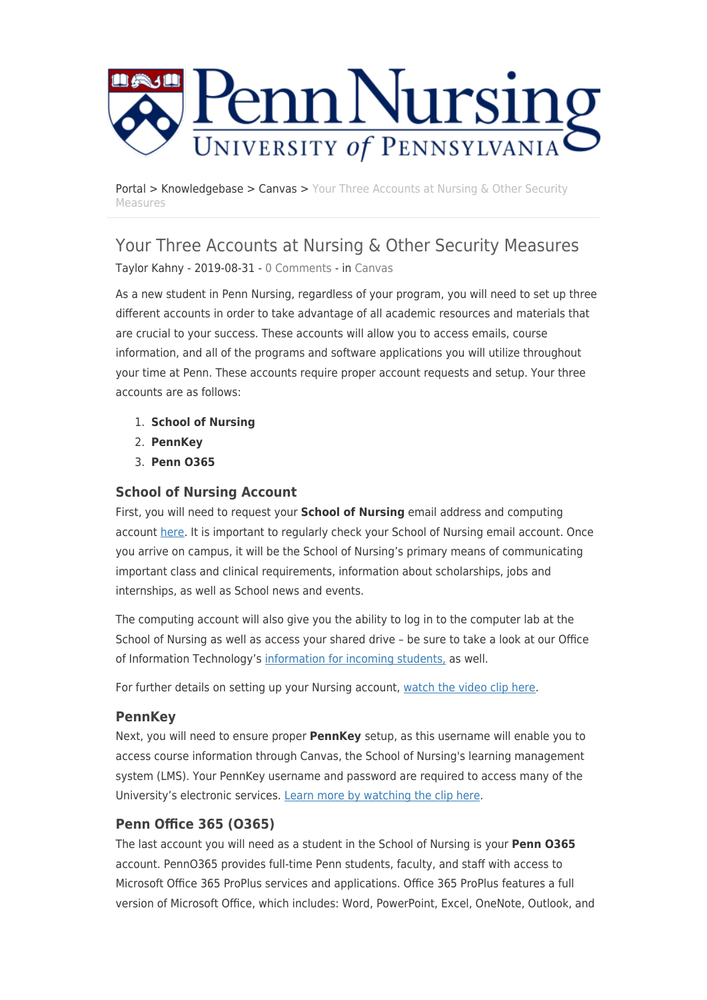

[Portal](https://requests.nursing.upenn.edu/) > [Knowledgebase](https://requests.nursing.upenn.edu/kb) > [Canvas](https://requests.nursing.upenn.edu/kb/canvas) > [Your Three Accounts at Nursing & Other Security](https://requests.nursing.upenn.edu/kb/articles/your-three-accounts-at-nursing-other-security-measures) [Measures](https://requests.nursing.upenn.edu/kb/articles/your-three-accounts-at-nursing-other-security-measures)

# Your Three Accounts at Nursing & Other Security Measures

Taylor Kahny - 2019-08-31 - [0 Comments](#page--1-0) - in [Canvas](https://requests.nursing.upenn.edu/kb/canvas)

As a new student in Penn Nursing, regardless of your program, you will need to set up three different accounts in order to take advantage of all academic resources and materials that are crucial to your success. These accounts will allow you to access emails, course information, and all of the programs and software applications you will utilize throughout your time at Penn. These accounts require proper account requests and setup. Your three accounts are as follows:

- 1. **School of Nursing**
- 2. **PennKey**
- 3. **Penn O365**

### **School of Nursing Account**

First, you will need to request your **School of Nursing** email address and computing account [here](https://portal.nursing.upenn.edu/). It is important to regularly check your School of Nursing email account. Once you arrive on campus, it will be the School of Nursing's primary means of communicating important class and clinical requirements, information about scholarships, jobs and internships, as well as School news and events.

The computing account will also give you the ability to log in to the computer lab at the School of Nursing as well as access your shared drive – be sure to take a look at our Office of Information Technology's [information for incoming students,](http://www.nursing.upenn.edu/its/resources/student/) as well.

For further details on setting up your Nursing account, [watch the video clip here.](https://www.youtube.com/watch?v=F01UC2Kr05c&list=PL6tua0HAOA9MEkrbn_AVqJF4ElPmhE9Vc&index=4)

### **PennKey**

Next, you will need to ensure proper **PennKey** setup, as this username will enable you to access course information through Canvas, the School of Nursing's learning management system (LMS). Your PennKey username and password are required to access many of the University's electronic services. [Learn more by watching the clip here](https://www.youtube.com/watch?v=dx_DqrkSptk&list=PL6tua0HAOA9MEkrbn_AVqJF4ElPmhE9Vc&index=2).

## **Penn Office 365 (O365)**

The last account you will need as a student in the School of Nursing is your **Penn O365** account. PennO365 provides full-time Penn students, faculty, and staff with access to Microsoft Office 365 ProPlus services and applications. Office 365 ProPlus features a full version of Microsoft Office, which includes: Word, PowerPoint, Excel, OneNote, Outlook, and